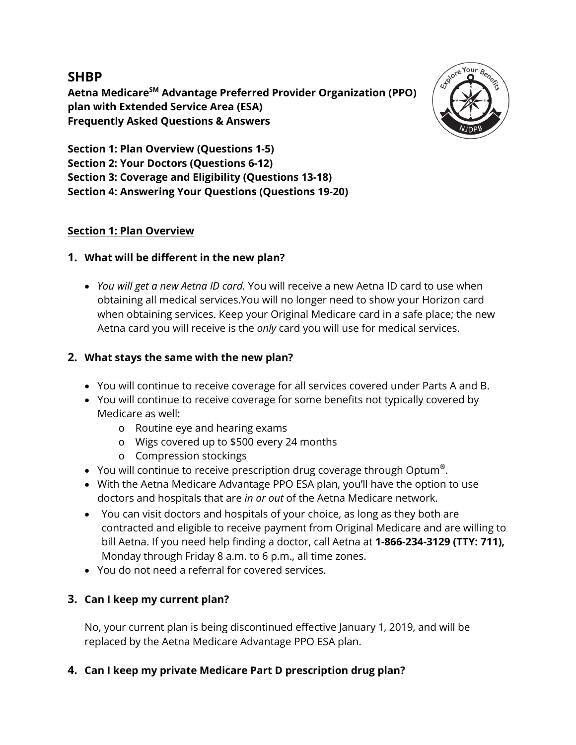# **SHBP**

**Aetna MedicareSM Advantage Preferred Provider Organization (PPO) plan with Extended Service Area (ESA) Frequently Asked Questions & Answers**



**Section 1: Plan Overview (Questions 1-5) Section 2: Your Doctors (Questions 6-12) Section 3: Coverage and Eligibility (Questions 13-18) Section 4: Answering Your Questions (Questions 19-20)**

# **Section 1: Plan Overview**

# **1. What will be different in the new plan?**

• *You will get a new Aetna ID card.* You will receive a new Aetna ID card to use when obtaining all medical services.You will no longer need to show your Horizon card when obtaining services. Keep your Original Medicare card in a safe place; the new Aetna card you will receive is the *only* card you will use for medical services.

# **2. What stays the same with the new plan?**

- You will continue to receive coverage for all services covered under Parts A and B.
- You will continue to receive coverage for some benefits not typically covered by Medicare as well:
	- o Routine eye and hearing exams
	- o Wigs covered up to \$500 every 24 months
	- o Compression stockings
- You will continue to receive prescription drug coverage through Optum<sup>®</sup>.
- With the Aetna Medicare Advantage PPO ESA plan, you'll have the option to use doctors and hospitals that are *in or out* of the Aetna Medicare network.
- You can visit doctors and hospitals of your choice, as long as they both are contracted and eligible to receive payment from Original Medicare and are willing to bill Aetna. If you need help finding a doctor, call Aetna at **1-866-234-3129 (TTY: 711),**  Monday through Friday 8 a.m. to 6 p.m., all time zones.
- You do not need a referral for covered services.

# **3. Can I keep my current plan?**

No, your current plan is being discontinued effective January 1, 2019, and will be replaced by the Aetna Medicare Advantage PPO ESA plan.

# **4. Can I keep my private Medicare Part D prescription drug plan?**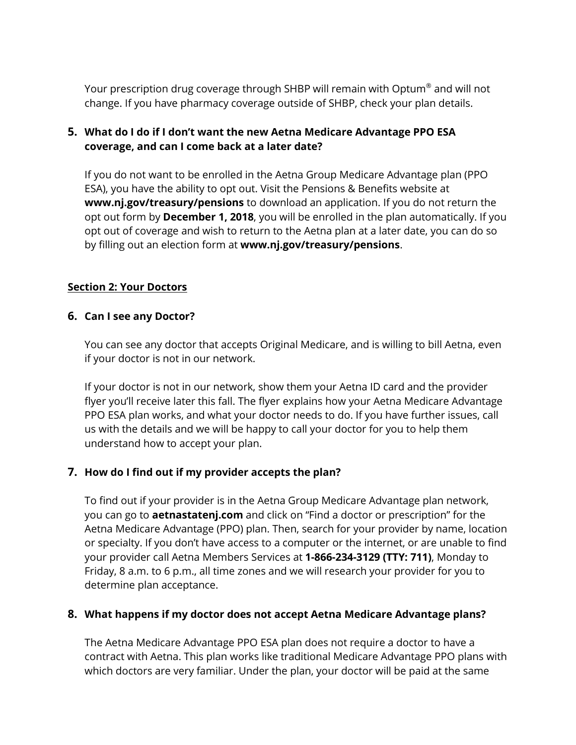Your prescription drug coverage through SHBP will remain with Optum® and will not change. If you have pharmacy coverage outside of SHBP, check your plan details.

# **5. What do I do if I don't want the new Aetna Medicare Advantage PPO ESA coverage, and can I come back at a later date?**

If you do not want to be enrolled in the Aetna Group Medicare Advantage plan (PPO ESA), you have the ability to opt out. Visit the Pensions & Benefits website at **www.nj.gov/treasury/pensions** to download an application. If you do not return the opt out form by **December 1, 2018**, you will be enrolled in the plan automatically. If you opt out of coverage and wish to return to the Aetna plan at a later date, you can do so by filling out an election form at **www.nj.gov/treasury/pensions**.

# **Section 2: Your Doctors**

## **6. Can I see any Doctor?**

You can see any doctor that accepts Original Medicare, and is willing to bill Aetna, even if your doctor is not in our network.

If your doctor is not in our network, show them your Aetna ID card and the provider flyer you'll receive later this fall. The flyer explains how your Aetna Medicare Advantage PPO ESA plan works, and what your doctor needs to do. If you have further issues, call us with the details and we will be happy to call your doctor for you to help them understand how to accept your plan.

# **7. How do I find out if my provider accepts the plan?**

To find out if your provider is in the Aetna Group Medicare Advantage plan network, you can go to **aetnastatenj.com** and click on "Find a doctor or prescription" for the Aetna Medicare Advantage (PPO) plan. Then, search for your provider by name, location or specialty. If you don't have access to a computer or the internet, or are unable to find your provider call Aetna Members Services at **1-866-234-3129 (TTY: 711)**, Monday to Friday, 8 a.m. to 6 p.m., all time zones and we will research your provider for you to determine plan acceptance.

#### **8. What happens if my doctor does not accept Aetna Medicare Advantage plans?**

The Aetna Medicare Advantage PPO ESA plan does not require a doctor to have a contract with Aetna. This plan works like traditional Medicare Advantage PPO plans with which doctors are very familiar. Under the plan, your doctor will be paid at the same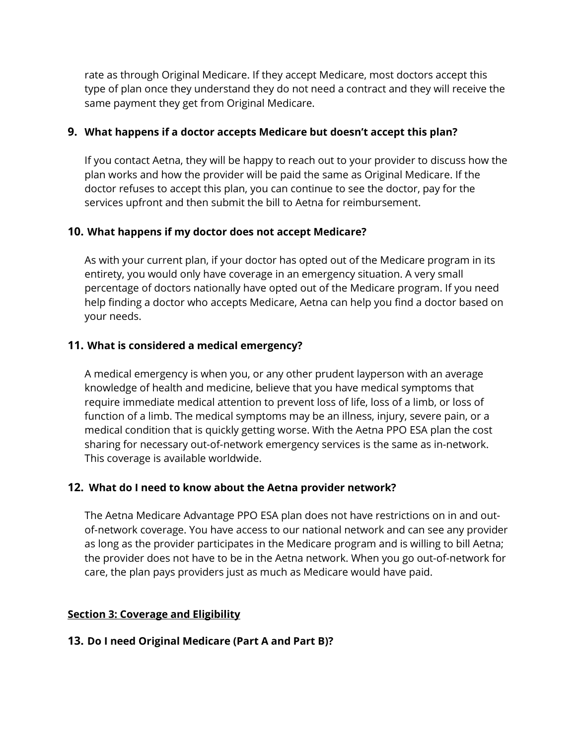rate as through Original Medicare. If they accept Medicare, most doctors accept this type of plan once they understand they do not need a contract and they will receive the same payment they get from Original Medicare.

# **9. What happens if a doctor accepts Medicare but doesn't accept this plan?**

If you contact Aetna, they will be happy to reach out to your provider to discuss how the plan works and how the provider will be paid the same as Original Medicare. If the doctor refuses to accept this plan, you can continue to see the doctor, pay for the services upfront and then submit the bill to Aetna for reimbursement.

# **10. What happens if my doctor does not accept Medicare?**

As with your current plan, if your doctor has opted out of the Medicare program in its entirety, you would only have coverage in an emergency situation. A very small percentage of doctors nationally have opted out of the Medicare program. If you need help finding a doctor who accepts Medicare, Aetna can help you find a doctor based on your needs.

## **11. What is considered a medical emergency?**

A medical emergency is when you, or any other prudent layperson with an average knowledge of health and medicine, believe that you have medical symptoms that require immediate medical attention to prevent loss of life, loss of a limb, or loss of function of a limb. The medical symptoms may be an illness, injury, severe pain, or a medical condition that is quickly getting worse. With the Aetna PPO ESA plan the cost sharing for necessary out-of-network emergency services is the same as in-network. This coverage is available worldwide.

#### **12. What do I need to know about the Aetna provider network?**

The Aetna Medicare Advantage PPO ESA plan does not have restrictions on in and outof-network coverage. You have access to our national network and can see any provider as long as the provider participates in the Medicare program and is willing to bill Aetna; the provider does not have to be in the Aetna network. When you go out-of-network for care, the plan pays providers just as much as Medicare would have paid.

#### **Section 3: Coverage and Eligibility**

#### **13. Do I need Original Medicare (Part A and Part B)?**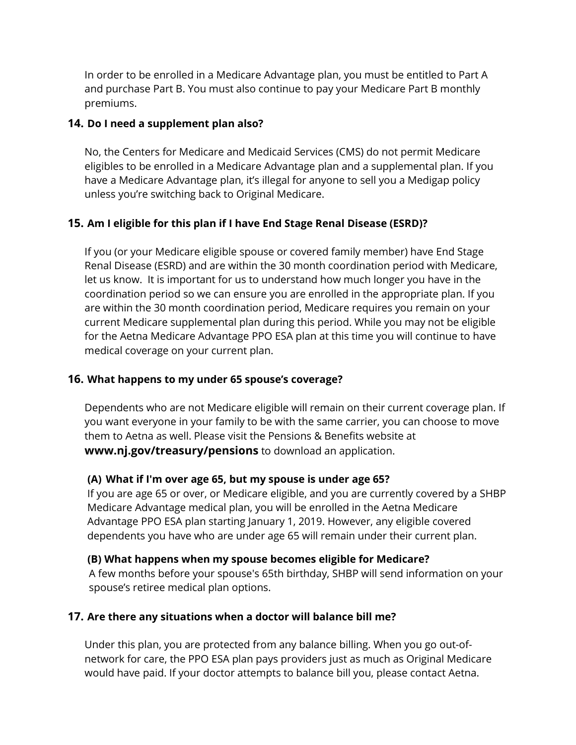In order to be enrolled in a Medicare Advantage plan, you must be entitled to Part A and purchase Part B. You must also continue to pay your Medicare Part B monthly premiums.

## **14. Do I need a supplement plan also?**

No, the Centers for Medicare and Medicaid Services (CMS) do not permit Medicare eligibles to be enrolled in a Medicare Advantage plan and a supplemental plan. If you have a Medicare Advantage plan, it's illegal for anyone to sell you a Medigap policy unless you're switching back to Original Medicare.

# **15. Am I eligible for this plan if I have End Stage Renal Disease (ESRD)?**

If you (or your Medicare eligible spouse or covered family member) have End Stage Renal Disease (ESRD) and are within the 30 month coordination period with Medicare, let us know. It is important for us to understand how much longer you have in the coordination period so we can ensure you are enrolled in the appropriate plan. If you are within the 30 month coordination period, Medicare requires you remain on your current Medicare supplemental plan during this period. While you may not be eligible for the Aetna Medicare Advantage PPO ESA plan at this time you will continue to have medical coverage on your current plan.

#### **16. What happens to my under 65 spouse's coverage?**

Dependents who are not Medicare eligible will remain on their current coverage plan. If you want everyone in your family to be with the same carrier, you can choose to move them to Aetna as well. Please visit the Pensions & Benefits website at **www.nj.gov/treasury/pensions** to download an application.

#### **(A) What if I'm over age 65, but my spouse is under age 65?**

If you are age 65 or over, or Medicare eligible, and you are currently covered by a SHBP Medicare Advantage medical plan, you will be enrolled in the Aetna Medicare Advantage PPO ESA plan starting January 1, 2019. However, any eligible covered dependents you have who are under age 65 will remain under their current plan.

#### **(B) What happens when my spouse becomes eligible for Medicare?**

A few months before your spouse's 65th birthday, SHBP will send information on your spouse's retiree medical plan options.

# **17. Are there any situations when a doctor will balance bill me?**

Under this plan, you are protected from any balance billing. When you go out-ofnetwork for care, the PPO ESA plan pays providers just as much as Original Medicare would have paid. If your doctor attempts to balance bill you, please contact Aetna.